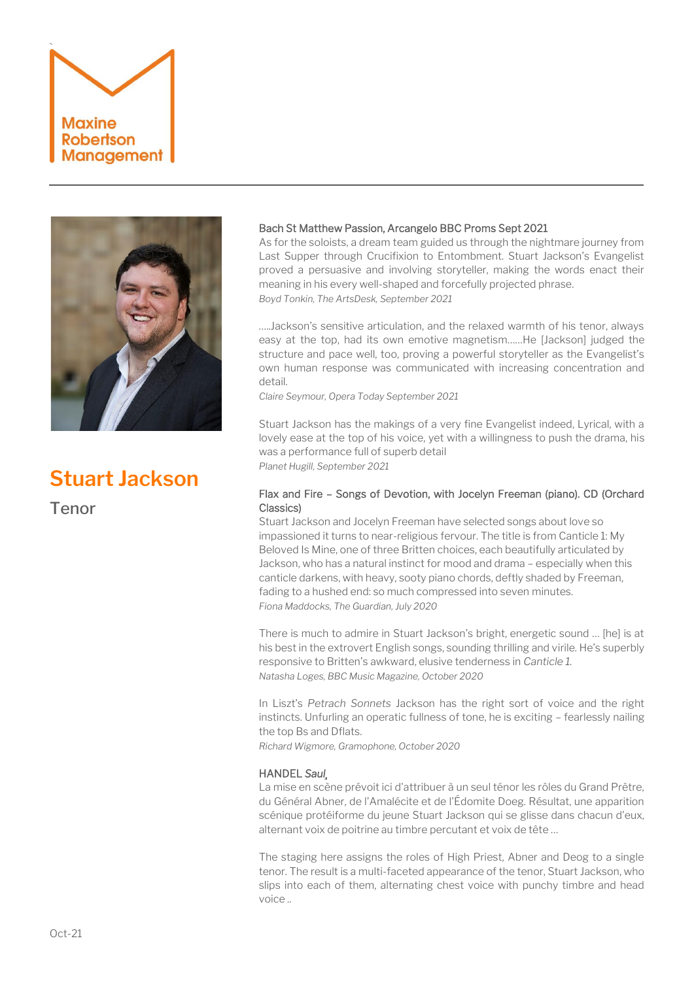



# **Stuart Jackson**

Tenor

# Bach St Matthew Passion, Arcangelo BBC Proms Sept 2021

As for the soloists, a dream team guided us through the nightmare journey from Last Supper through Crucifixion to Entombment. Stuart Jackson's Evangelist proved a persuasive and involving storyteller, making the words enact their meaning in his every well-shaped and forcefully projected phrase. *Boyd Tonkin, The ArtsDesk, September 2021*

…..Jackson's sensitive articulation, and the relaxed warmth of his tenor, always easy at the top, had its own emotive magnetism……He [Jackson] judged the structure and pace well, too, proving a powerful storyteller as the Evangelist's own human response was communicated with increasing concentration and detail.

*Claire Seymour, Opera Today September 2021*

Stuart Jackson has the makings of a very fine Evangelist indeed, Lyrical, with a lovely ease at the top of his voice, yet with a willingness to push the drama, his was a performance full of superb detail *Planet Hugill, September 2021* 

# Flax and Fire – Songs of Devotion, with Jocelyn Freeman (piano). CD (Orchard Classics)

Stuart Jackson and Jocelyn Freeman have selected songs about love so impassioned it turns to near-religious fervour. The title is from Canticle 1: My Beloved Is Mine, one of three Britten choices, each beautifully articulated by Jackson, who has a natural instinct for mood and drama – especially when this canticle darkens, with heavy, sooty piano chords, deftly shaded by Freeman, fading to a hushed end: so much compressed into seven minutes. *Fiona Maddocks, The Guardian, July 2020*

There is much to admire in Stuart Jackson's bright, energetic sound … [he] is at his best in the extrovert English songs, sounding thrilling and virile. He's superbly responsive to Britten's awkward, elusive tenderness in *Canticle 1. Natasha Loges, BBC Music Magazine, October 2020*

In Liszt's *Petrach Sonnets* Jackson has the right sort of voice and the right instincts. Unfurling an operatic fullness of tone, he is exciting – fearlessly nailing the top Bs and Dflats.

*Richard Wigmore, Gramophone, October 2020*

# HANDEL *Saul¸*

La mise en scène prévoit ici d'attribuer à un seul ténor les rôles du Grand Prêtre, du Général Abner, de l'Amalécite et de l'Édomite Doeg. Résultat, une apparition scénique protéiforme du jeune [Stuart Jackson](https://www.olyrix.com/artistes/13712/stuart-jackson) qui se glisse dans chacun d'eux, alternant voix de poitrine au timbre percutant et voix de tête …

The staging here assigns the roles of High Priest, Abner and Deog to a single tenor. The result is a multi-faceted appearance of the tenor, Stuart Jackson, who slips into each of them, alternating chest voice with punchy timbre and head voice ..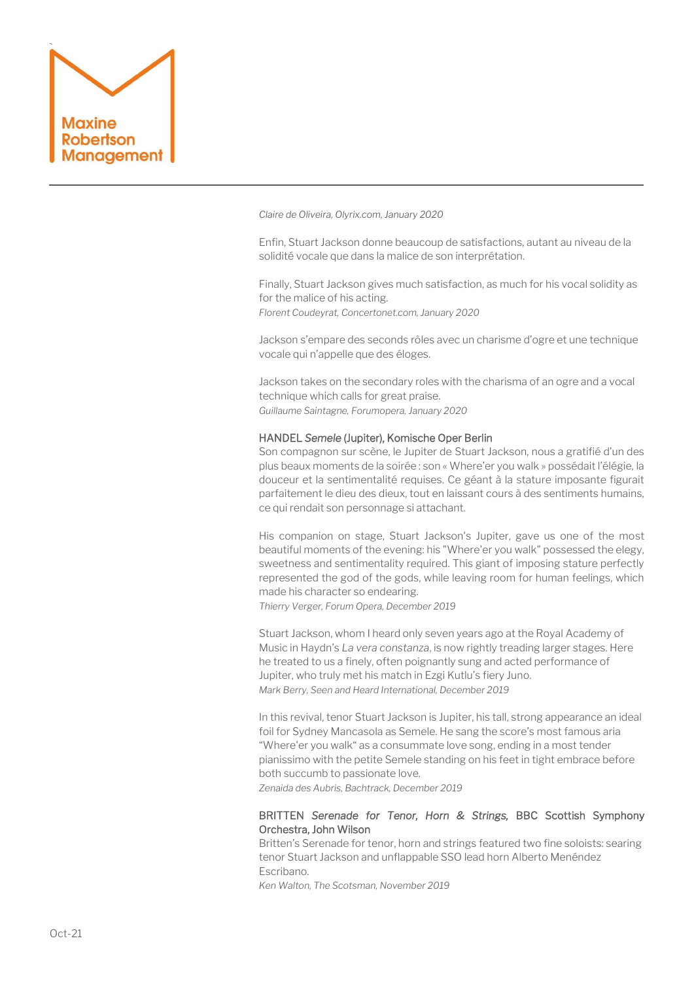

*Claire de Oliveira, Olyrix.com, January 2020* 

Enfin, Stuart Jackson donne beaucoup de satisfactions, autant au niveau de la solidité vocale que dans la malice de son interprétation.

Finally, Stuart Jackson gives much satisfaction, as much for his vocal solidity as for the malice of his acting. *Florent Coudeyrat, Concertonet.com, January 2020*

Jackson s'empare des seconds rôles avec un charisme d'ogre et une technique vocale qui n'appelle que des éloges.

Jackson takes on the secondary roles with the charisma of an ogre and a vocal technique which calls for great praise. *Guillaume Saintagne, Forumopera, January 2020*

## HANDEL *Semele* (Jupiter), Komische Oper Berlin

Son compagnon sur scène, le Jupiter de Stuart Jackson, nous a gratifié d'un des plus beaux moments de la soirée : son « Where'er you walk » possédait l'élégie, la douceur et la sentimentalité requises. Ce géant à la stature imposante figurait parfaitement le dieu des dieux, tout en laissant cours à des sentiments humains, ce qui rendait son personnage si attachant.

His companion on stage, Stuart Jackson's Jupiter, gave us one of the most beautiful moments of the evening: his "Where'er you walk" possessed the elegy, sweetness and sentimentality required. This giant of imposing stature perfectly represented the god of the gods, while leaving room for human feelings, which made his character so endearing.

*Thierry Verger, Forum Opera, December 2019*

Stuart Jackson, whom I heard only seven years ago at the Royal Academy of Music in Haydn's *[La vera constanza](http://boulezian.blogspot.com/2012/11/la-vera-costanza-royal-academy-of-music.html)*, is now rightly treading larger stages. Here he treated to us a finely, often poignantly sung and acted performance of Jupiter, who truly met his match in Ezgi Kutlu's fiery Juno. *Mark Berry, Seen and Heard International, December 2019*

In this revival, teno[r Stuart Jackson](https://bachtrack.com/performer/stuart-jackson) is Jupiter, his tall, strong appearance an ideal foil fo[r Sydney Mancasola](https://bachtrack.com/performer/sydney-mancasola) as Semele. He sang the score's most famous aria "Where'er you walk" as a consummate love song, ending in a most tender pianissimo with the petite Semele standing on his feet in tight embrace before both succumb to passionate love.

*Zenaida des Aubris, Bachtrack, December 2019*

# BRITTEN *Serenade for Tenor, Horn & Strings,* BBC Scottish Symphony Orchestra, John Wilson

Britten's Serenade for tenor, horn and strings featured two fine soloists: searing tenor Stuart Jackson and unflappable SSO lead horn Alberto Menéndez Escribano.

*Ken Walton, The Scotsman, November 2019*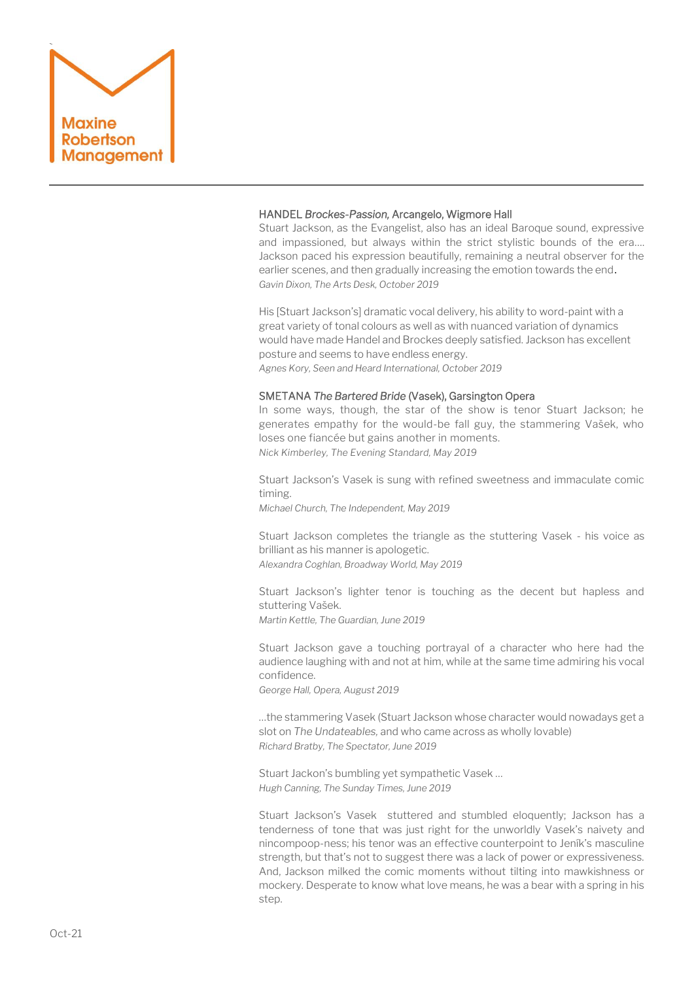

# HANDEL *Brockes-Passion,* Arcangelo, Wigmore Hall

Stuart Jackson, as the Evangelist, also has an ideal Baroque sound, expressive and impassioned, but always within the strict stylistic bounds of the era…. Jackson paced his expression beautifully, remaining a neutral observer for the earlier scenes, and then gradually increasing the emotion towards the end. *Gavin Dixon, The Arts Desk, October 2019*

His [Stuart Jackson's] dramatic vocal delivery, his ability to word-paint with a great variety of tonal colours as well as with nuanced variation of dynamics would have made Handel and Brockes deeply satisfied. Jackson has excellent posture and seems to have endless energy. *Agnes Kory, Seen and Heard International, October 2019* 

#### SMETANA *The Bartered Bride* (Vasek), Garsington Opera

In some ways, though, the star of the show is tenor Stuart Jackson; he generates empathy for the would-be fall guy, the stammering Vašek, who loses one fiancée but gains another in moments. *Nick Kimberley, The Evening Standard, May 2019* 

Stuart Jackson's Vasek is sung with refined sweetness and immaculate comic timing.

*Michael Church, The Independent, May 2019*

Stuart Jackson completes the triangle as the stuttering Vasek - his voice as brilliant as his manner is apologetic.

*Alexandra Coghlan, Broadway World, May 2019*

[Stuart Jackson](https://www.maxinerobertson.com/artists/stuart-jackson/)'s lighter tenor is touching as the decent but hapless and stuttering Vašek.

*Martin Kettle, The Guardian, June 2019*

Stuart Jackson gave a touching portrayal of a character who here had the audience laughing with and not at him, while at the same time admiring his vocal confidence.

*George Hall, Opera, August 2019*

…the stammering Vasek (Stuart Jackson whose character would nowadays get a slot on *The Undateables,* and who came across as wholly lovable) *Richard Bratby, The Spectator, June 2019*

Stuart Jackon's bumbling yet sympathetic Vasek … *Hugh Canning, The Sunday Times, June 2019*

Stuart Jackson's Vasek stuttered and stumbled eloquently; Jackson has a tenderness of tone that was just right for the unworldly Vasek's naivety and nincompoop-ness; his tenor was an effective counterpoint to Jeník's masculine strength, but that's not to suggest there was a lack of power or expressiveness. And, Jackson milked the comic moments without tilting into mawkishness or mockery. Desperate to know what love means, he was a bear with a spring in his step.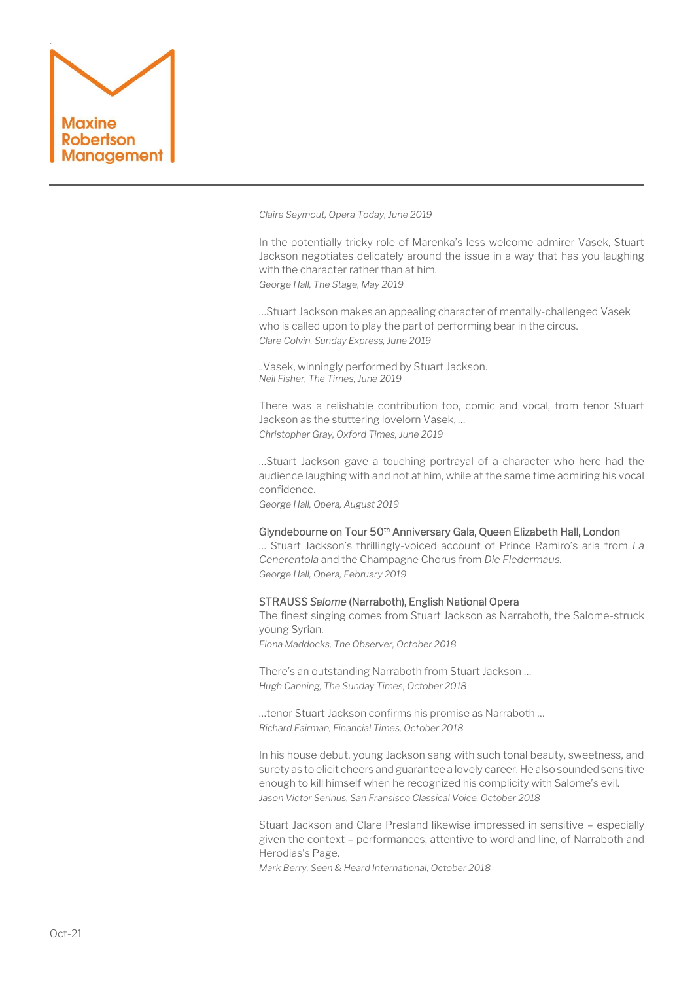

*Claire Seymout, Opera Today, June 2019*

In the potentially tricky role of Marenka's less welcome admirer Vasek, Stuart Jackson negotiates delicately around the issue in a way that has you laughing with the character rather than at him. *George Hall, The Stage, May 2019*

…Stuart Jackson makes an appealing character of mentally-challenged Vasek who is called upon to play the part of performing bear in the circus. *Clare Colvin, Sunday Express, June 2019*

..Vasek, winningly performed by Stuart Jackson. *Neil Fisher, The Times, June 2019*

There was a relishable contribution too, comic and vocal, from tenor Stuart Jackson as the stuttering lovelorn Vasek, … *Christopher Gray, Oxford Times, June 2019* 

…Stuart Jackson gave a touching portrayal of a character who here had the audience laughing with and not at him, while at the same time admiring his vocal confidence.

*George Hall, Opera, August 2019*

## Glyndebourne on Tour 50<sup>th</sup> Anniversary Gala, Queen Elizabeth Hall, London

… Stuart Jackson's thrillingly-voiced account of Prince Ramiro's aria from *La Cenerentola* and the Champagne Chorus from *Die Fledermaus. George Hall, Opera, February 2019*

#### STRAUSS *Salome* (Narraboth), English National Opera

The finest singing comes from Stuart Jackson as Narraboth, the Salome-struck young Syrian. *Fiona Maddocks, The Observer, October 2018*

There's an outstanding Narraboth from Stuart Jackson … *Hugh Canning, The Sunday Times, October 2018*

…tenor Stuart Jackson confirms his promise as Narraboth … *Richard Fairman, Financial Times, October 2018*

In his house debut, young Jackson sang with such tonal beauty, sweetness, and surety as to elicit cheers and guarantee a lovely career. He also sounded sensitive enough to kill himself when he recognized his complicity with Salome's evil. *Jason Victor Serinus, San Fransisco Classical Voice, October 2018*

Stuart Jackson and Clare Presland likewise impressed in sensitive – especially given the context – performances, attentive to word and line, of Narraboth and Herodias's Page.

*Mark Berry, Seen & Heard International, October 2018*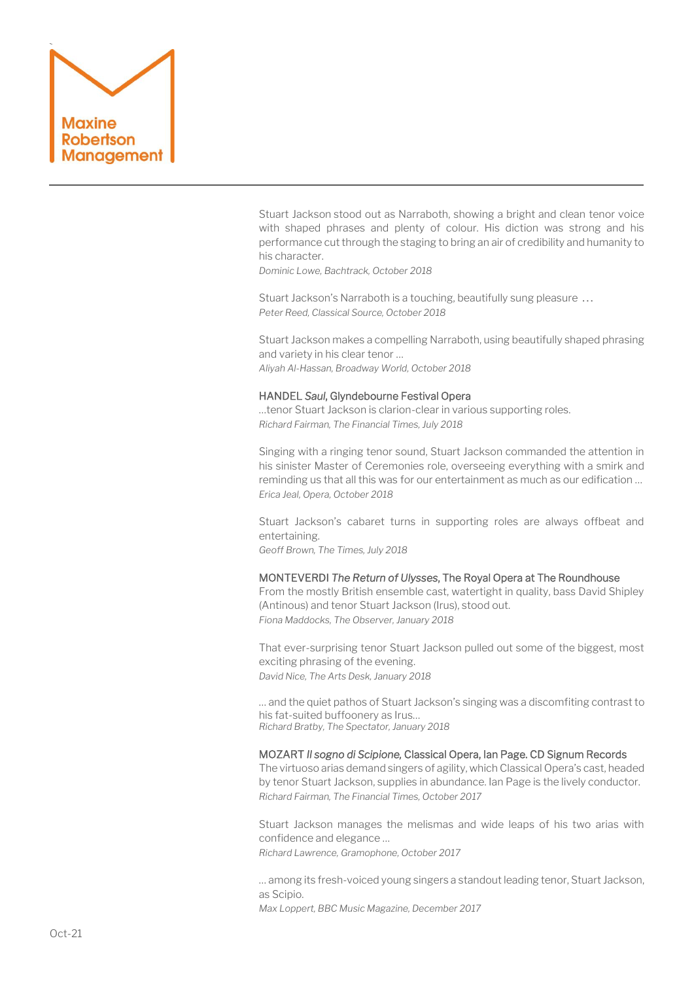

[Stuart Jackson](https://bachtrack.com/performer/stuart-jackson?utm_source=article_body&utm_medium=internal) stood out as Narraboth, showing a bright and clean tenor voice with shaped phrases and plenty of colour. His diction was strong and his performance cut through the staging to bring an air of credibility and humanity to his character.

*Dominic Lowe, Bachtrack, October 2018*

Stuart Jackson's Narraboth is a touching, beautifully sung pleasure … *Peter Reed, Classical Source, October 2018*

Stuart [Jackson](https://www.broadwayworld.com/people/Stuart-Jackson/) makes a compelling Narraboth, using beautifully shaped phrasing and variety in his clear tenor … *Aliyah Al-Hassan, Broadway World, October 2018*

#### HANDEL *Saul*, Glyndebourne Festival Opera

…tenor Stuart Jackson is clarion-clear in various supporting roles. *Richard Fairman, The Financial Times, July 2018*

Singing with a ringing tenor sound, Stuart Jackson commanded the attention in his sinister Master of Ceremonies role, overseeing everything with a smirk and reminding us that all this was for our entertainment as much as our edification … *Erica Jeal, Opera, October 2018*

Stuart Jackson's cabaret turns in supporting roles are always offbeat and entertaining. *Geoff Brown, The Times, July 2018*

#### MONTEVERDI *The Return of Ulysses*, The Royal Opera at The Roundhouse

From the mostly British ensemble cast, watertight in quality, bass David Shipley (Antinous) and tenor Stuart Jackson (Irus), stood out. *Fiona Maddocks, The Observer, January 2018*

That ever-surprising tenor Stuart Jackson pulled out some of the biggest, most exciting phrasing of the evening. *David Nice, The Arts Desk, January 2018*

… and the quiet pathos of Stuart Jackson's singing was a discomfiting contrast to his fat-suited buffoonery as Irus… *Richard Bratby, The Spectator, January 2018*

#### MOZART *Il sogno di Scipione,* Classical Opera, Ian Page. CD Signum Records

The virtuoso arias demand singers of agility, which Classical Opera's cast, headed by tenor Stuart Jackson, supplies in abundance. Ian Page is the lively conductor. *Richard Fairman, The Financial Times, October 2017*

Stuart Jackson manages the melismas and wide leaps of his two arias with confidence and elegance …

*Richard Lawrence, Gramophone, October 2017*

… among its fresh-voiced young singers a standout leading tenor, Stuart Jackson, as Scipio.

*Max Loppert, BBC Music Magazine, December 2017*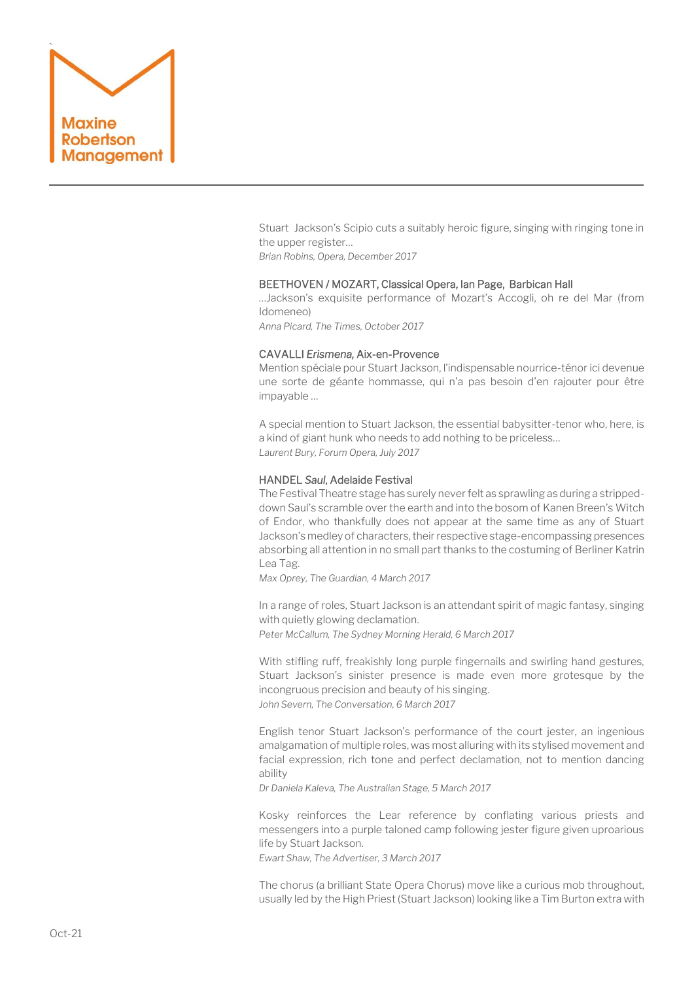

Stuart Jackson's Scipio cuts a suitably heroic figure, singing with ringing tone in the upper register…

*Brian Robins, Opera, December 2017*

# BEETHOVEN / MOZART, Classical Opera, Ian Page, Barbican Hall

…Jackson's exquisite performance of Mozart's Accogli, oh re del Mar (from Idomeneo)

*Anna Picard, The Times, October 2017*

## CAVALLI *Erismena,* Aix-en-Provence

Mention spéciale pour Stuart Jackson, l'indispensable nourrice-ténor ici devenue une sorte de géante hommasse, qui n'a pas besoin d'en rajouter pour être impayable …

A special mention to Stuart Jackson, the essential babysitter-tenor who, here, is a kind of giant hunk who needs to add nothing to be priceless… *Laurent Bury, Forum Opera, July 2017*

## HANDEL *Saul*, Adelaide Festival

The Festival Theatre stage has surely never felt as sprawling as during a strippeddown Saul's scramble over the earth and into the bosom of Kanen Breen's Witch of Endor, who thankfully does not appear at the same time as any of Stuart Jackson's medley of characters, their respective stage-encompassing presences absorbing all attention in no small part thanks to the costuming of Berliner Katrin Lea Tag.

*Max Oprey, The Guardian, 4 March 2017*

In a range of roles, Stuart Jackson is an attendant spirit of magic fantasy, singing with quietly glowing declamation. *Peter McCallum, The Sydney Morning Herald, 6 March 2017*

With stifling ruff, freakishly long purple fingernails and swirling hand gestures, Stuart Jackson's sinister presence is made even more grotesque by the incongruous precision and beauty of his singing. *John Severn, The Conversation, 6 March 2017*

English tenor Stuart Jackson's performance of the court jester, an ingenious amalgamation of multiple roles, was most alluring with its stylised movement and facial expression, rich tone and perfect declamation, not to mention dancing ability

*Dr Daniela Kaleva, The Australian Stage, 5 March 2017*

Kosky reinforces the Lear reference by conflating various priests and messengers into a purple taloned camp following jester figure given uproarious life by Stuart Jackson.

*Ewart Shaw, The Advertiser, 3 March 2017*

The chorus (a brilliant State Opera Chorus) move like a curious mob throughout, usually led by the High Priest (Stuart Jackson) looking like a Tim Burton extra with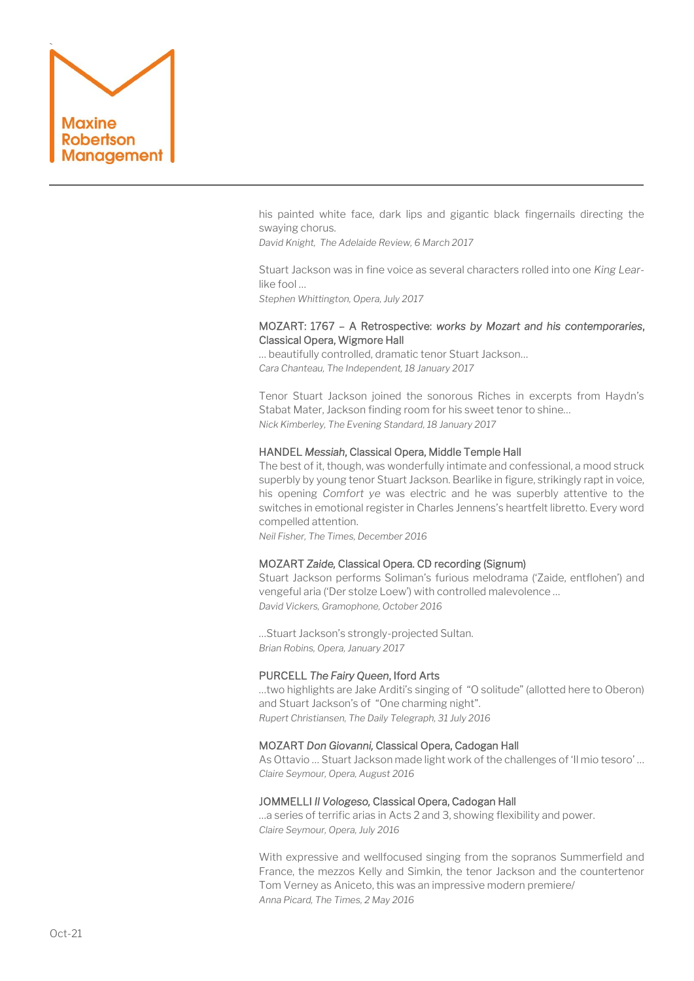

his painted white face, dark lips and gigantic black fingernails directing the swaying chorus.

*David Knight, The Adelaide Review, 6 March 2017*

Stuart Jackson was in fine voice as several characters rolled into one *King Lear*like fool …

*Stephen Whittington, Opera, July 2017*

# MOZART: 1767 – A Retrospective: *works by Mozart and his contemporaries*, Classical Opera, Wigmore Hall

… beautifully controlled, dramatic tenor Stuart Jackson… *Cara Chanteau, The Independent, 18 January 2017*

Tenor Stuart Jackson joined the sonorous Riches in excerpts from Haydn's Stabat Mater, Jackson finding room for his sweet tenor to shine… *Nick Kimberley, The Evening Standard, 18 January 2017*

# HANDEL *Messiah*, Classical Opera, Middle Temple Hall

The best of it, though, was wonderfully intimate and confessional, a mood struck superbly by young tenor Stuart Jackson. Bearlike in figure, strikingly rapt in voice, his opening *Comfort ye* was electric and he was superbly attentive to the switches in emotional register in Charles Jennens's heartfelt libretto. Every word compelled attention.

*Neil Fisher, The Times, December 2016*

#### MOZART *Zaide,* Classical Opera. CD recording (Signum)

Stuart Jackson performs Soliman's furious melodrama ('Zaide, entflohen') and vengeful aria ('Der stolze Loew') with controlled malevolence … *David Vickers, Gramophone, October 2016*

…Stuart Jackson's strongly-projected Sultan. *Brian Robins, Opera, January 2017*

#### PURCELL *The Fairy Queen*, Iford Arts

…two highlights are Jake Arditi's singing of "O solitude" (allotted here to Oberon) and Stuart Jackson's of "One charming night". *Rupert Christiansen, The Daily Telegraph, 31 July 2016*

# MOZART *Don Giovanni,* Classical Opera, Cadogan Hall

As Ottavio … Stuart Jackson made light work of the challenges of 'Il mio tesoro' … *Claire Seymour, Opera, August 2016* 

#### JOMMELLI *Il Vologeso,* Classical Opera, Cadogan Hall

…a series of terrific arias in Acts 2 and 3, showing flexibility and power. *Claire Seymour, Opera, July 2016*

With expressive and wellfocused singing from the sopranos Summerfield and France, the mezzos Kelly and Simkin, the tenor Jackson and the countertenor Tom Verney as Aniceto, this was an impressive modern premiere/ *Anna Picard, The Times, 2 May 2016*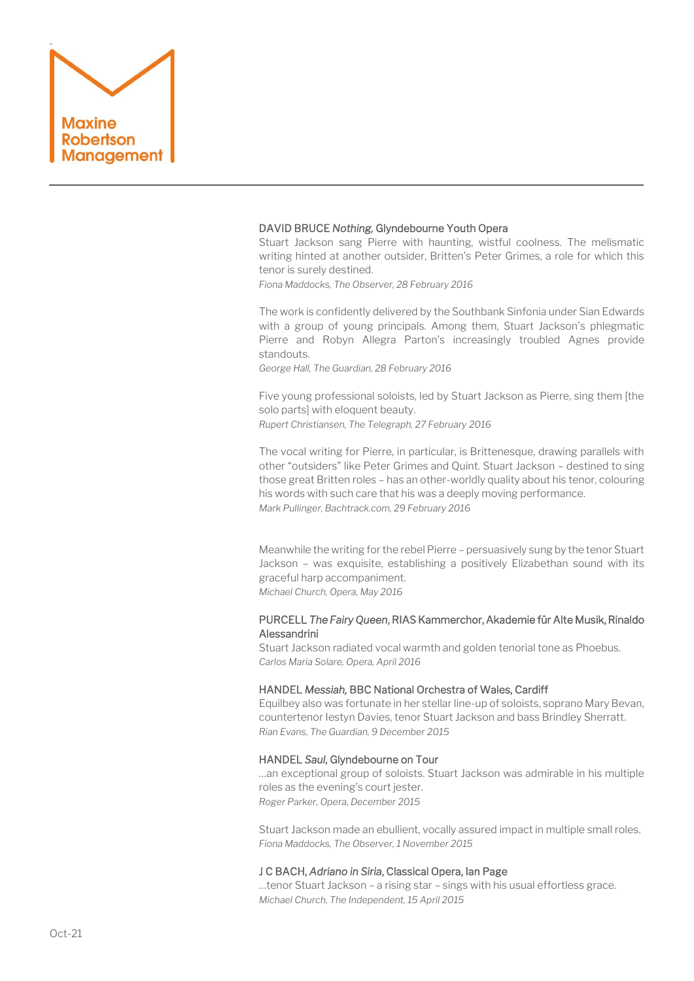

# DAVID BRUCE *Nothing,* Glyndebourne Youth Opera

[Stuart Jackson](http://www.stuartjacksontenor.com/) sang Pierre with haunting, wistful coolness. The melismatic writing hinted at another outsider, Britten's Peter Grimes, a role for which this tenor is surely destined.

*Fiona Maddocks, The Observer, 28 February 2016*

The work is confidently delivered by the Southbank Sinfonia under Sian Edwards with a group of young principals. Among them, Stuart Jackson's phlegmatic Pierre and Robyn Allegra Parton's increasingly troubled Agnes provide standouts.

*George Hall, The Guardian, 28 February 2016*

Five young professional soloists, led by Stuart Jackson as Pierre, sing them [the solo parts] with eloquent beauty. *Rupert Christiansen, The Telegraph, 27 February 2016*

The vocal writing for Pierre, in particular, is Brittenesque, drawing parallels with other "outsiders" like Peter Grimes and Quint. Stuart Jackson – destined to sing those great Britten roles – has an other-worldly quality about his tenor, colouring his words with such care that his was a deeply moving performance. *Mark Pullinger, Bachtrack.com, 29 February 2016*

Meanwhile the writing for the rebel Pierre – persuasively sung by the tenor Stuart Jackson – was exquisite, establishing a positively Elizabethan sound with its graceful harp accompaniment. *Michael Church, Opera, May 2016*

PURCELL *The Fairy Queen*, RIAS Kammerchor, Akademie für Alte Musik, Rinaldo Alessandrini

Stuart Jackson radiated vocal warmth and golden tenorial tone as Phoebus. *Carlos Maria Solare, Opera, April 2016*

## HANDEL *Messiah,* BBC National Orchestra of Wales, Cardiff

Equilbey also was fortunate in her stellar line-up of soloists, soprano Mary Bevan, countertenor Iestyn Davies, tenor Stuart Jackson and bass Brindley Sherratt. *Rian Evans, The Guardian, 9 December 2015*

# HANDEL *Saul*, Glyndebourne on Tour

…an exceptional group of soloists. Stuart Jackson was admirable in his multiple roles as the evening's court jester. *Roger Parker, Opera, December 2015*

Stuart Jackson made an ebullient, vocally assured impact in multiple small roles. *Fiona Maddocks, The Observer, 1 November 2015* 

# J C BACH, *Adriano in Siria*, Classical Opera, Ian Page

…tenor Stuart Jackson – a rising star – sings with his usual effortless grace. *Michael Church, The Independent, 15 April 2015*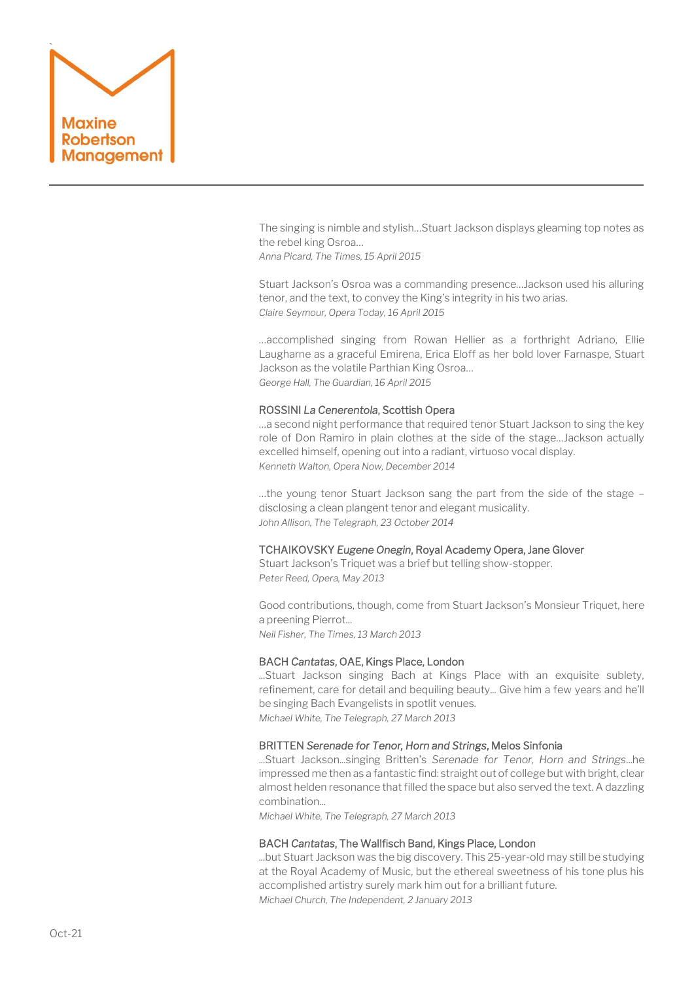

The singing is nimble and stylish…Stuart Jackson displays gleaming top notes as the rebel king Osroa…

*Anna Picard, The Times, 15 April 2015*

Stuart Jackson's Osroa was a commanding presence…Jackson used his alluring tenor, and the text, to convey the King's integrity in his two arias. *Claire Seymour, Opera Today, 16 April 2015*

…accomplished singing from [Rowan Hellier](http://www.rayfieldallied.com/artists/rowan-hellier/) as a forthright Adriano, [Ellie](http://www.ellielaugharne.co.uk/)  [Laugharne](http://www.ellielaugharne.co.uk/) as a graceful Emirena, [Erica Eloff](http://ericaeloff.com/) as her bold lover Farnaspe, [Stuart](http://stuartjacksontenor.com/)  [Jackson](http://stuartjacksontenor.com/) as the volatile Parthian King Osroa… *George Hall, The Guardian, 16 April 2015*

# ROSSINI *La Cenerentola*, Scottish Opera

…a second night performance that required tenor Stuart Jackson to sing the key role of Don Ramiro in plain clothes at the side of the stage…Jackson actually excelled himself, opening out into a radiant, virtuoso vocal display. *Kenneth Walton, Opera Now, December 2014*

…the young tenor Stuart Jackson sang the part from the side of the stage – disclosing a clean plangent tenor and elegant musicality. *John Allison, The Telegraph, 23 October 2014*

# TCHAIKOVSKY *Eugene Onegin*, Royal Academy Opera, Jane Glover

Stuart Jackson's Triquet was a brief but telling show-stopper. *Peter Reed, Opera, May 2013* 

Good contributions, though, come from Stuart Jackson's Monsieur Triquet, here a preening Pierrot... *Neil Fisher, The Times, 13 March 2013*

# BACH *Cantatas*, OAE, Kings Place, London

...Stuart Jackson singing Bach at Kings Place with an exquisite sublety, refinement, care for detail and bequiling beauty... Give him a few years and he'll be singing Bach Evangelists in spotlit venues. *Michael White, The Telegraph, 27 March 2013*

# BRITTEN *Serenade for Tenor, Horn and Strings*, Melos Sinfonia

...Stuart Jackson...singing Britten's *Serenade for Tenor, Horn and Strings*...he impressed me then as a fantastic find: straight out of college but with bright, clear almost helden resonance that filled the space but also served the text. A dazzling combination...

*Michael White, The Telegraph, 27 March 2013*

## BACH *Cantatas*, The Wallfisch Band, Kings Place, London

...but Stuart Jackson was the big discovery. This 25-year-old may still be studying at the Royal Academy of Music, but the ethereal sweetness of his tone plus his accomplished artistry surely mark him out for a brilliant future. *Michael Church, The Independent, 2 January 2013*